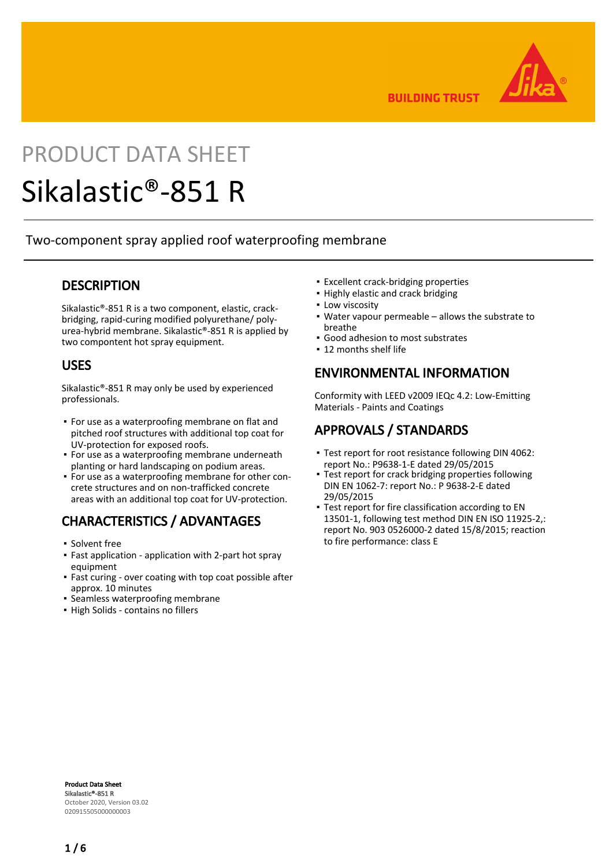

**BUILDING TRUST** 

# PRODUCT DATA SHEET

## Sikalastic®-851 R

Two-component spray applied roof waterproofing membrane

#### **DESCRIPTION**

Sikalastic®-851 R is a two component, elastic, crackbridging, rapid-curing modified polyurethane/ polyurea-hybrid membrane. Sikalastic®-851 R is applied by two compontent hot spray equipment.

#### USES

Sikalastic®-851 R may only be used by experienced professionals.

- **•** For use as a waterproofing membrane on flat and pitched roof structures with additional top coat for UV-protection for exposed roofs.
- **•** For use as a waterproofing membrane underneath planting or hard landscaping on podium areas.
- **•** For use as a waterproofing membrane for other concrete structures and on non-trafficked concrete areas with an additional top coat for UV-protection.

## CHARACTERISTICS / ADVANTAGES

- Solvent free
- Fast application application with 2-part hot spray equipment
- Fast curing over coating with top coat possible after approx. 10 minutes ▪
- **Seamless waterproofing membrane**
- High Solids contains no fillers
- **Excellent crack-bridging properties**
- **.** Highly elastic and crack bridging
- **.** Low viscosity
- Water vapour permeable allows the substrate to breathe
- Good adhesion to most substrates
- 12 months shelf life

#### ENVIRONMENTAL INFORMATION

Conformity with LEED v2009 IEQc 4.2: Low-Emitting Materials - Paints and Coatings

#### APPROVALS / STANDARDS

- Test report for root resistance following DIN 4062: report No.: P9638-1-E dated 29/05/2015
- **Test report for crack bridging properties following** DIN EN 1062-7: report No.: P 9638-2-E dated 29/05/2015
- Test report for fire classification according to EN 13501-1, following test method DIN EN ISO 11925-2,: report No. 903 0526000-2 dated 15/8/2015; reaction to fire performance: class E ▪

Product Data Sheet Sikalastic®-851 R October 2020, Version 03.02 020915505000000003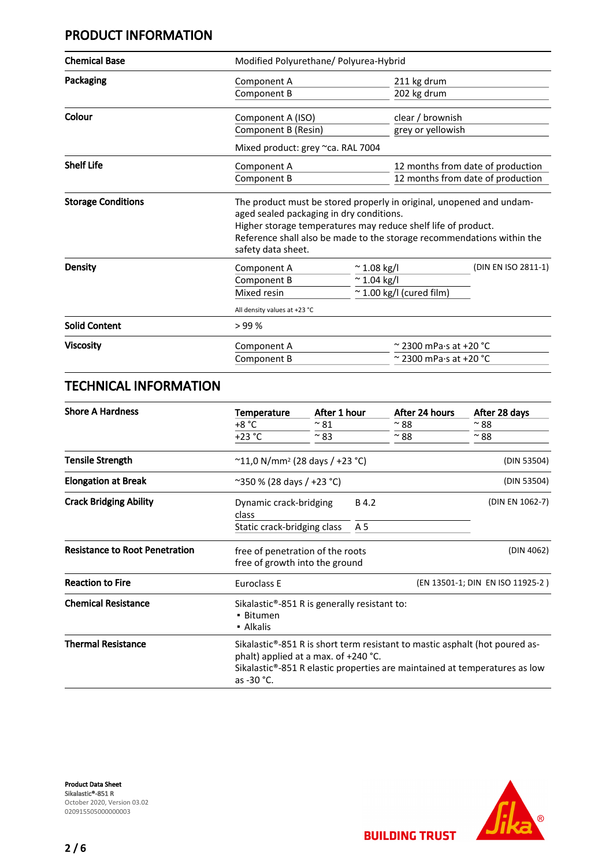#### PRODUCT INFORMATION

| <b>Chemical Base</b>      |                                                                                                                                                                                                                                                                                   | Modified Polyurethane/ Polyurea-Hybrid |                                     |                                   |
|---------------------------|-----------------------------------------------------------------------------------------------------------------------------------------------------------------------------------------------------------------------------------------------------------------------------------|----------------------------------------|-------------------------------------|-----------------------------------|
| Packaging                 | Component A                                                                                                                                                                                                                                                                       |                                        | 211 kg drum                         |                                   |
|                           | Component B                                                                                                                                                                                                                                                                       |                                        | 202 kg drum                         |                                   |
| Colour                    | Component A (ISO)                                                                                                                                                                                                                                                                 |                                        | clear / brownish                    |                                   |
|                           | Component B (Resin)                                                                                                                                                                                                                                                               |                                        | grey or yellowish                   |                                   |
|                           | Mixed product: grey ~ca. RAL 7004                                                                                                                                                                                                                                                 |                                        |                                     |                                   |
| <b>Shelf Life</b>         | Component A                                                                                                                                                                                                                                                                       |                                        |                                     | 12 months from date of production |
|                           | Component B                                                                                                                                                                                                                                                                       |                                        |                                     | 12 months from date of production |
| <b>Storage Conditions</b> | The product must be stored properly in original, unopened and undam-<br>aged sealed packaging in dry conditions.<br>Higher storage temperatures may reduce shelf life of product.<br>Reference shall also be made to the storage recommendations within the<br>safety data sheet. |                                        |                                     |                                   |
| Density                   | Component A                                                                                                                                                                                                                                                                       | $\sim$ 1.08 kg/l                       |                                     | (DIN EN ISO 2811-1)               |
|                           | Component B                                                                                                                                                                                                                                                                       |                                        | $~^{\sim}$ 1.04 kg/l                |                                   |
|                           | Mixed resin                                                                                                                                                                                                                                                                       |                                        | $\sim$ 1.00 kg/l (cured film)       |                                   |
|                           | All density values at +23 °C                                                                                                                                                                                                                                                      |                                        |                                     |                                   |
| <b>Solid Content</b>      | >99%                                                                                                                                                                                                                                                                              |                                        |                                     |                                   |
| <b>Viscosity</b>          | Component A                                                                                                                                                                                                                                                                       |                                        | $\sim$ 2300 mPa $\cdot$ s at +20 °C |                                   |
|                           | Component B                                                                                                                                                                                                                                                                       | $\sim$ 2300 mPa·s at +20 °C            |                                     |                                   |

#### TECHNICAL INFORMATION

| <b>Shore A Hardness</b>               | Temperature                                                                         | After 1 hour  | After 24 hours                                                                           | After 28 days                                                              |
|---------------------------------------|-------------------------------------------------------------------------------------|---------------|------------------------------------------------------------------------------------------|----------------------------------------------------------------------------|
|                                       | +8 °C                                                                               | $~^{\sim}$ 81 | $~^{\sim}$ 88                                                                            | $~^{\sim}$ 88                                                              |
|                                       | $+23 °C$                                                                            | $~^{\sim}$ 83 | $~^{\sim}$ 88                                                                            | $~^{\sim}$ 88                                                              |
| <b>Tensile Strength</b>               | $^{\sim}$ 11,0 N/mm <sup>2</sup> (28 days / +23 °C)                                 |               |                                                                                          | (DIN 53504)                                                                |
| <b>Elongation at Break</b>            | $\sim$ 350 % (28 days / +23 °C)                                                     |               |                                                                                          | (DIN 53504)                                                                |
| <b>Crack Bridging Ability</b>         | Dynamic crack-bridging<br>class                                                     |               | B 4.2                                                                                    | (DIN EN 1062-7)                                                            |
|                                       | Static crack-bridging class                                                         |               | A 5                                                                                      |                                                                            |
| <b>Resistance to Root Penetration</b> | free of penetration of the roots<br>free of growth into the ground                  |               |                                                                                          | (DIN 4062)                                                                 |
| <b>Reaction to Fire</b>               | Euroclass E                                                                         |               |                                                                                          | (EN 13501-1; DIN EN ISO 11925-2)                                           |
| <b>Chemical Resistance</b>            | Sikalastic <sup>®</sup> -851 R is generally resistant to:<br>• Bitumen<br>• Alkalis |               |                                                                                          |                                                                            |
| <b>Thermal Resistance</b>             | phalt) applied at a max. of +240 °C.<br>as -30 °C.                                  |               | Sikalastic <sup>®</sup> -851 R is short term resistant to mastic asphalt (hot poured as- | Sikalastic®-851 R elastic properties are maintained at temperatures as low |

Product Data Sheet Sikalastic®-851 R October 2020, Version 03.02 020915505000000003

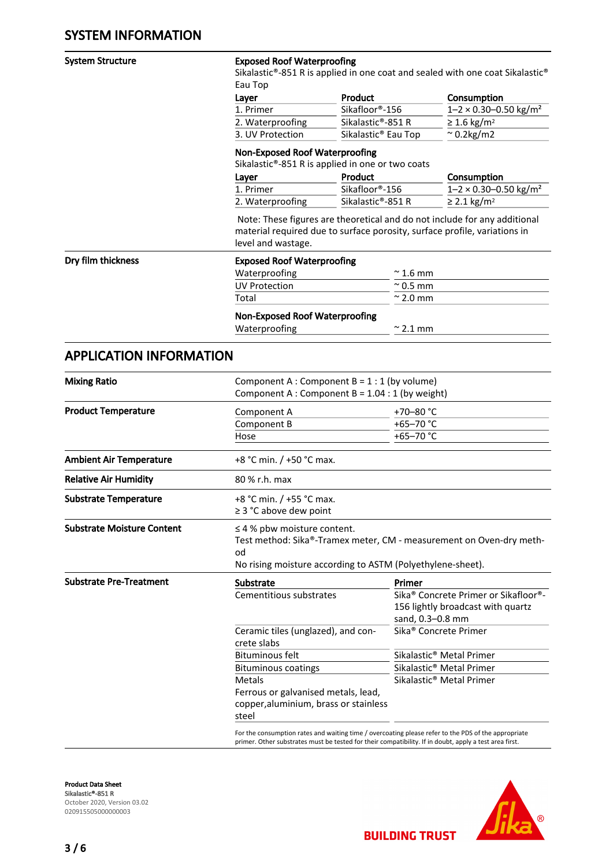#### System Structure **Exposed Roof Waterproofing**

Sikalastic®-851 R is applied in one coat and sealed with one coat Sikalastic® Eau Top

| Layer            | <b>Product</b>                  | Consumption                                  |
|------------------|---------------------------------|----------------------------------------------|
| 1. Primer        | Sikafloor®-156                  | $1 - 2 \times 0.30 - 0.50$ kg/m <sup>2</sup> |
| 2. Waterproofing | Sikalastic®-851 R               | $\geq$ 1.6 kg/m <sup>2</sup>                 |
| 3. UV Protection | Sikalastic <sup>®</sup> Eau Top | $\approx$ 0.2kg/m2                           |

#### Non-Exposed Roof Waterproofing

Sikalastic®-851 R is applied in one or two coats

| Layer            | Product                     | Consumption                                  |
|------------------|-----------------------------|----------------------------------------------|
| 1. Primer        | Sikafloor <sup>®</sup> -156 | $1 - 2 \times 0.30 - 0.50$ kg/m <sup>2</sup> |
| 2. Waterproofing | Sikalastic®-851 R           | $\geq$ 2.1 kg/m <sup>2</sup>                 |

 Note: These figures are theoretical and do not include for any additional material required due to surface porosity, surface profile, variations in level and wastage.

#### Dry film thickness Exposed Roof Waterproofing

| Waterproofing        | $\approx$ 1.6 mm |
|----------------------|------------------|
| <b>UV Protection</b> | $\approx$ 0.5 mm |
| Total                | $\approx$ 2.0 mm |

#### Non-Exposed Roof Waterproofing

Waterproofing  $\sim$  2.1 mm

#### APPLICATION INFORMATION

| <b>Mixing Ratio</b>               | Component A : Component B = $1:1$ (by volume)<br>Component A : Component B = $1.04:1$ (by weight)                                                                                                             |                                                                                                                        |  |
|-----------------------------------|---------------------------------------------------------------------------------------------------------------------------------------------------------------------------------------------------------------|------------------------------------------------------------------------------------------------------------------------|--|
| <b>Product Temperature</b>        | Component A                                                                                                                                                                                                   | +70-80 $^{\circ}$ C                                                                                                    |  |
|                                   | Component B                                                                                                                                                                                                   | +65-70 $^{\circ}$ C                                                                                                    |  |
|                                   | Hose                                                                                                                                                                                                          | +65-70 °C                                                                                                              |  |
| <b>Ambient Air Temperature</b>    | +8 °C min. / +50 °C max.                                                                                                                                                                                      |                                                                                                                        |  |
| <b>Relative Air Humidity</b>      | 80 % r.h. max                                                                                                                                                                                                 |                                                                                                                        |  |
| <b>Substrate Temperature</b>      | +8 °C min. / +55 °C max.<br>$\geq$ 3 °C above dew point                                                                                                                                                       |                                                                                                                        |  |
| <b>Substrate Moisture Content</b> | $\leq$ 4 % pbw moisture content.<br>Test method: Sika®-Tramex meter, CM - measurement on Oven-dry meth-<br>od<br>No rising moisture according to ASTM (Polyethylene-sheet).                                   |                                                                                                                        |  |
| <b>Substrate Pre-Treatment</b>    | <b>Substrate</b>                                                                                                                                                                                              | Primer                                                                                                                 |  |
|                                   | Cementitious substrates                                                                                                                                                                                       | Sika <sup>®</sup> Concrete Primer or Sikafloor <sup>®</sup> -<br>156 lightly broadcast with quartz<br>sand, 0.3-0.8 mm |  |
|                                   | Ceramic tiles (unglazed), and con-<br>crete slabs                                                                                                                                                             | Sika <sup>®</sup> Concrete Primer                                                                                      |  |
|                                   | <b>Bituminous felt</b>                                                                                                                                                                                        | Sikalastic <sup>®</sup> Metal Primer                                                                                   |  |
|                                   | <b>Bituminous coatings</b>                                                                                                                                                                                    | Sikalastic <sup>®</sup> Metal Primer                                                                                   |  |
|                                   | <b>Metals</b>                                                                                                                                                                                                 | Sikalastic <sup>®</sup> Metal Primer                                                                                   |  |
|                                   | Ferrous or galvanised metals, lead,                                                                                                                                                                           |                                                                                                                        |  |
|                                   | copper, aluminium, brass or stainless                                                                                                                                                                         |                                                                                                                        |  |
|                                   | steel                                                                                                                                                                                                         |                                                                                                                        |  |
|                                   | For the consumption rates and waiting time / overcoating please refer to the PDS of the appropriate<br>primer. Other substrates must be tested for their compatibility. If in doubt, apply a test area first. |                                                                                                                        |  |

Product Data Sheet Sikalastic®-851 R October 2020, Version 03.02 020915505000000003

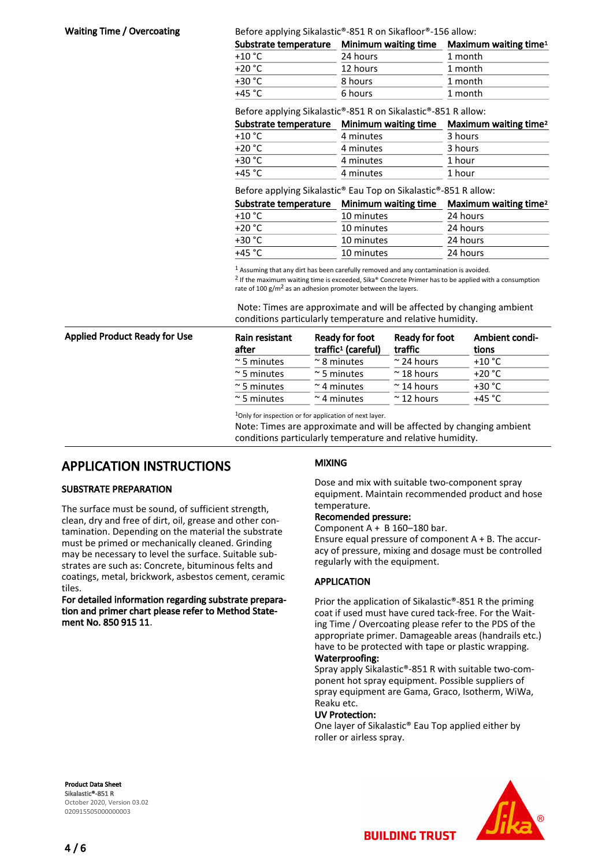**Waiting Time / Overcoating**  $B$  **Before applying Sikalastic®-851 R on Sikafloor®-156 allow:** 

| Minimum waiting time | Maximum waiting time <sup>1</sup> |
|----------------------|-----------------------------------|
| 24 hours             | 1 month                           |
| 12 hours             | 1 month                           |
| 8 hours              | 1 month                           |
| 6 hours              | 1 month                           |
|                      |                                   |

Before applying Sikalastic®-851 R on Sikalastic®-851 R allow:

| Substrate temperature | Minimum waiting time | Maximum waiting time <sup>2</sup> |
|-----------------------|----------------------|-----------------------------------|
| $+10 °C$              | 4 minutes            | 3 hours                           |
| $+20 °C$              | 4 minutes            | 3 hours                           |
| $+30 °C$              | 4 minutes            | 1 hour                            |
| $+45 °C$              | 4 minutes            | 1 hour                            |

Before applying Sikalastic® Eau Top on Sikalastic®-851 R allow:

| Substrate temperature | Minimum waiting time | Maximum waiting time <sup>2</sup> |
|-----------------------|----------------------|-----------------------------------|
| $+10\degree$ C        | 10 minutes           | 24 hours                          |
| $+20 °C$              | 10 minutes           | 24 hours                          |
| +30 °C                | 10 minutes           | 24 hours                          |
| +45 °C                | 10 minutes           | 24 hours                          |

1 Assuming that any dirt has been carefully removed and any contamination is avoided.

<sup>2</sup> If the maximum waiting time is exceeded, Sika® Concrete Primer has to be applied with a consumption rate of 100  $g/m^2$  as an adhesion promoter between the layers.

 Note: Times are approximate and will be affected by changing ambient conditions particularly temperature and relative humidity.

| Rain resistant<br>after | Ready for foot<br>traffic <sup>1</sup> (careful) | Ready for foot<br>traffic | Ambient condi-<br>tions |
|-------------------------|--------------------------------------------------|---------------------------|-------------------------|
| $\approx$ 5 minutes     | $\approx$ 8 minutes                              | $\approx$ 24 hours        | $+10 °C$                |
| $\approx$ 5 minutes     | $\approx$ 5 minutes                              | $~\sim$ 18 hours          | $+20 °C$                |
| $\approx$ 5 minutes     | $\sim$ 4 minutes                                 | $~\sim$ 14 hours          | $+30 °C$                |
| $\sim$ 5 minutes        | $\sim$ 4 minutes                                 | $~\sim$ 12 hours          | $+45 °C$                |

1Only for inspection or for application of next layer.

Note: Times are approximate and will be affected by changing ambient conditions particularly temperature and relative humidity.

#### APPLICATION INSTRUCTIONS

#### SUBSTRATE PREPARATION

Applied Product Ready for Use

The surface must be sound, of sufficient strength, clean, dry and free of dirt, oil, grease and other contamination. Depending on the material the substrate must be primed or mechanically cleaned. Grinding may be necessary to level the surface. Suitable substrates are such as: Concrete, bituminous felts and coatings, metal, brickwork, asbestos cement, ceramic tiles.

For detailed information regarding substrate preparation and primer chart please refer to Method Statement No. 850 915 11.

#### MIXING

Dose and mix with suitable two-component spray equipment. Maintain recommended product and hose temperature.

#### Recomended pressure:

Component  $A + B$  160-180 bar.

Ensure equal pressure of component A + B. The accuracy of pressure, mixing and dosage must be controlled regularly with the equipment.

#### APPLICATION

Prior the application of Sikalastic®-851 R the priming coat if used must have cured tack-free. For the Waiting Time / Overcoating please refer to the PDS of the appropriate primer. Damageable areas (handrails etc.) have to be protected with tape or plastic wrapping. Waterproofing:

Spray apply Sikalastic®-851 R with suitable two-component hot spray equipment. Possible suppliers of spray equipment are Gama, Graco, Isotherm, WiWa, Reaku etc.

#### UV Protection:

One layer of Sikalastic® Eau Top applied either by roller or airless spray.

Product Data Sheet Sikalastic®-851 R October 2020, Version 03.02 020915505000000003

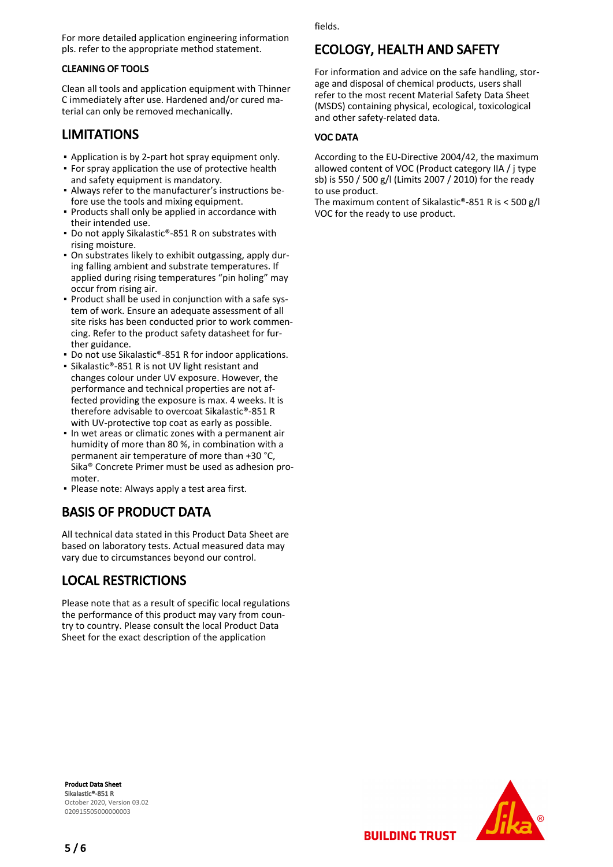For more detailed application engineering information pls. refer to the appropriate method statement.

#### CLEANING OF TOOLS

Clean all tools and application equipment with Thinner C immediately after use. Hardened and/or cured material can only be removed mechanically.

#### LIMITATIONS

- Application is by 2-part hot spray equipment only.
- **For spray application the use of protective health** and safety equipment is mandatory.
- Always refer to the manufacturer's instructions be-▪ fore use the tools and mixing equipment.
- **Products shall only be applied in accordance with** their intended use.
- Do not apply Sikalastic®-851 R on substrates with rising moisture.
- On substrates likely to exhibit outgassing, apply dur-▪ ing falling ambient and substrate temperatures. If applied during rising temperatures "pin holing" may occur from rising air.
- Product shall be used in conjunction with a safe sys-▪ tem of work. Ensure an adequate assessment of all site risks has been conducted prior to work commencing. Refer to the product safety datasheet for further guidance.
- Do not use Sikalastic®-851 R for indoor applications.
- Sikalastic®-851 R is not UV light resistant and changes colour under UV exposure. However, the performance and technical properties are not affected providing the exposure is max. 4 weeks. It is therefore advisable to overcoat Sikalastic®-851 R with UV-protective top coat as early as possible.
- In wet areas or climatic zones with a permanent air humidity of more than 80 %, in combination with a permanent air temperature of more than +30 °C, Sika® Concrete Primer must be used as adhesion promoter.
- Please note: Always apply a test area first.

## BASIS OF PRODUCT DATA

All technical data stated in this Product Data Sheet are based on laboratory tests. Actual measured data may vary due to circumstances beyond our control.

#### LOCAL RESTRICTIONS

Please note that as a result of specific local regulations the performance of this product may vary from country to country. Please consult the local Product Data Sheet for the exact description of the application

fields.

#### ECOLOGY, HEALTH AND SAFETY

For information and advice on the safe handling, storage and disposal of chemical products, users shall refer to the most recent Material Safety Data Sheet (MSDS) containing physical, ecological, toxicological and other safety-related data.

#### VOC DATA

According to the EU-Directive 2004/42, the maximum allowed content of VOC (Product category IIA / j type sb) is 550 / 500 g/l (Limits 2007 / 2010) for the ready to use product.

The maximum content of Sikalastic®-851 R is < 500 g/l VOC for the ready to use product.

Product Data Sheet Sikalastic®-851 R October 2020, Version 03.02 020915505000000003